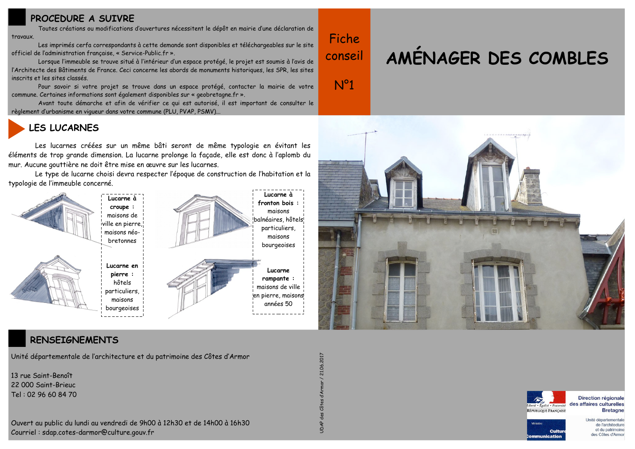## **PROCEDURE A SUIVRE**

Toutes créations ou modifications d'ouvertures nécessitent le dépôt en mairie d'une déclaration de travaux.

Les imprimés cerfa correspondants à cette demande sont disponibles et téléchargeables sur le site officiel de l'administration française, « Service-Public, fr ».

Lorsque l'immeuble se trouve situé à l'intérieur d'un espace protégé, le projet est soumis à l'avis de l'Architecte des Bâtiments de France. Ceci concerne les abords de monuments historiques, les SPR, les sites inscrits et les sites classés.

Pour savoir si votre projet se trouve dans un espace protégé, contacter la mairie de votre commune. Certaines informations sont également disponibles sur « geobretagne.fr ».

Avant toute démarche et afin de vérifier ce qui est autorisé, il est important de consulter le règlement d'urbanisme en vigueur dans votre commune (PLU, PVAP, PSMV)..

# **LES LUCARNES**

Les lucarnes créées sur un même bâti seront de même typologie en évitant les éléments de trop grande dimension. La lucarne prolonge la façade, elle est donc à l'aplomb du mur. Aucune gouttière ne doit être mise en œuvre sur les lucarnes.

Le type de lucarne choisi devra respecter l'époque de construction de l'habitation et la typologie de l'immeuble concerné.



### RENSEIGNEMENTS

Unité départementale de l'architecture et du patrimoine des Côtes d'Armor

13 rue Saint-Benoît  $22000$  Saint-Brieuc Tel: 02 96 60 84 70



UDAP des Côtes d'Armor / 21.06.2017

Fiche

conseil

 $N^{o}1$ 

# AMÉNAGER DES COMBLES





Direction régionale des affaires culturelles **Bretagne** 



Unité départementale de l'architecture et du patrimoine des Côtes d'Armor